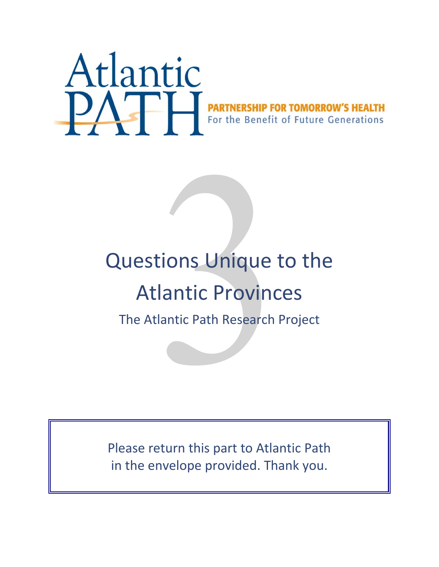

# Questions Unique to the Atlantic Provinces

The Atlantic Path Research Project

Please return this part to Atlantic Path in the envelope provided. Thank you.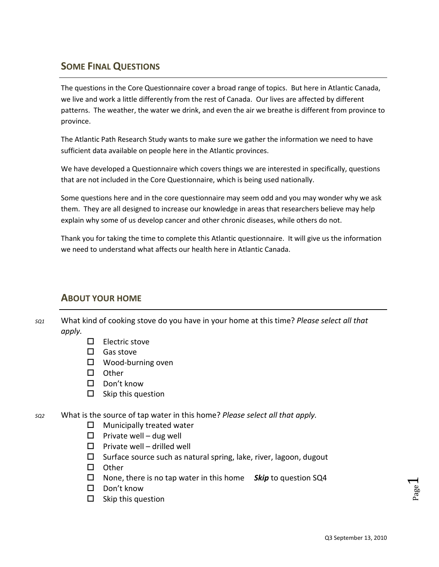# **SOME FINAL QUESTIONS**

The questions in the Core Questionnaire cover a broad range of topics. But here in Atlantic Canada, we live and work a little differently from the rest of Canada. Our lives are affected by different patterns. The weather, the water we drink, and even the air we breathe is different from province to province.

The Atlantic Path Research Study wants to make sure we gather the information we need to have sufficient data available on people here in the Atlantic provinces.

We have developed a Questionnaire which covers things we are interested in specifically, questions that are not included in the Core Questionnaire, which is being used nationally.

Some questions here and in the core questionnaire may seem odd and you may wonder why we ask them. They are all designed to increase our knowledge in areas that researchers believe may help explain why some of us develop cancer and other chronic diseases, while others do not.

Thank you for taking the time to complete this Atlantic questionnaire. It will give us the information we need to understand what affects our health here in Atlantic Canada.

### **ABOUT YOUR HOME**

*SQ1* What kind of cooking stove do you have in your home at this time? *Please select all that apply.*

- $\Box$  Electric stove
- $\Box$  Gas stove
- □ Wood-burning oven
- □ Other
- $\Box$  Don't know
- $\square$  Skip this question
- *SQ2* What is the source of tap water in this home? *Please select all that apply.*
	- $\Box$  Municipally treated water
	- $\Box$  Private well dug well
	- $\square$  Private well drilled well
	- $\square$  Surface source such as natural spring, lake, river, lagoon, dugout
	- $\square$  Other
	- None, there is no tap water in this home *Skip* to question SQ4
	- □ Don't know
	- $\square$  Skip this question

Page  $\overline{\phantom{0}}$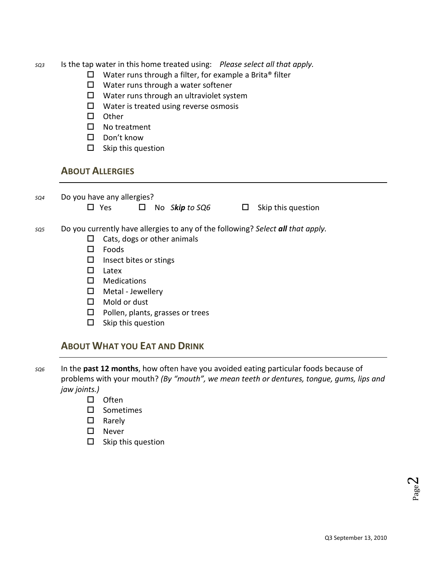- *SQ3* Is the tap water in this home treated using: *Please select all that apply.*
	- $\Box$  Water runs through a filter, for example a Brita® filter
	- $\Box$  Water runs through a water softener
	- $\Box$  Water runs through an ultraviolet system
	- $\Box$  Water is treated using reverse osmosis
	- $\square$  Other
	- □ No treatment
	- □ Don't know
	- $\square$  Skip this question

#### **ABOUT ALLERGIES**

*SQ4* Do you have any allergies?

Yes No*Skip to SQ6* Skip this question

- *SQ5* Do you currently have allergies to any of the following? *Select all that apply.*
	- $\Box$  Cats, dogs or other animals
	- $\Box$  Foods
	- $\square$  Insect bites or stings
	- $\Box$  Latex
	- Medications
	- $\Box$  Metal Jewellery
	- Mold or dust
	- $\Box$  Pollen, plants, grasses or trees
	- $\square$  Skip this question

#### **ABOUT WHAT YOU EAT AND DRINK**

- *SQ6* In the **past 12 months**, how often have you avoided eating particular foods because of problems with your mouth? *(By "mouth", we mean teeth or dentures, tongue, gums, lips and jaw joints.)*
	- $\square$  Often
	- $\square$  Sometimes
	- □ Rarely
	- □ Never
	- $\square$  Skip this question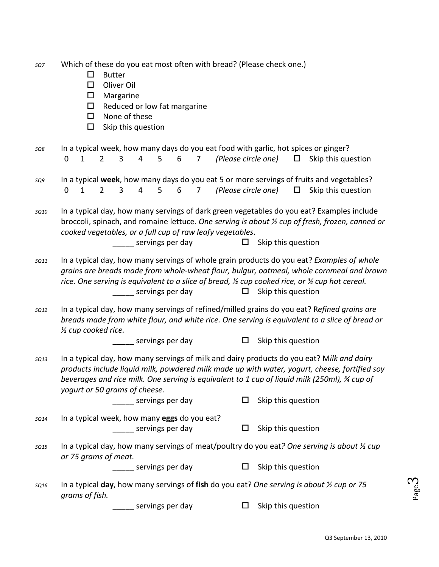| SQ7         | Which of these do you eat most often with bread? (Please check one.)<br><b>Butter</b><br>□<br>Oliver Oil<br>$\Box$<br>$\Box$<br>Margarine<br>$\Box$<br>Reduced or low fat margarine<br>$\Box$<br>None of these<br>□<br>Skip this question                                                                                                             |                    |
|-------------|-------------------------------------------------------------------------------------------------------------------------------------------------------------------------------------------------------------------------------------------------------------------------------------------------------------------------------------------------------|--------------------|
| SQ8         | In a typical week, how many days do you eat food with garlic, hot spices or ginger?<br>(Please circle one)<br>$\mathbf{1}$<br>4<br>$\mathbf 0$<br>$\overline{2}$<br>3<br>5<br>6<br>$\overline{7}$<br>$\Box$                                                                                                                                           | Skip this question |
| SQ9         | In a typical week, how many days do you eat 5 or more servings of fruits and vegetables?<br>(Please circle one)<br>$\mathbf{1}$<br>$\overline{2}$<br>3<br>4<br>5<br>6<br>$\overline{7}$<br>$\Box$<br>$\mathbf 0$                                                                                                                                      | Skip this question |
| <b>SQ10</b> | In a typical day, how many servings of dark green vegetables do you eat? Examples include<br>broccoli, spinach, and romaine lettuce. One serving is about 1/2 cup of fresh, frozen, canned or<br>cooked vegetables, or a full cup of raw leafy vegetables.<br>Skip this question<br>servings per day<br>$\Box$                                        |                    |
| <b>SQ11</b> | In a typical day, how many servings of whole grain products do you eat? Examples of whole<br>grains are breads made from whole-wheat flour, bulgur, oatmeal, whole cornmeal and brown<br>rice. One serving is equivalent to a slice of bread, 1/2 cup cooked rice, or 3/4 cup hot cereal.<br>_______ servings per day<br>Skip this question<br>$\Box$ |                    |
| <b>SQ12</b> | In a typical day, how many servings of refined/milled grains do you eat? Refined grains are<br>breads made from white flour, and white rice. One serving is equivalent to a slice of bread or<br>1/2 cup cooked rice.                                                                                                                                 |                    |
|             | $\Box$<br>Skip this question<br>__ servings per day                                                                                                                                                                                                                                                                                                   |                    |
| <b>SQ13</b> | In a typical day, how many servings of milk and dairy products do you eat? Milk and dairy<br>products include liquid milk, powdered milk made up with water, yogurt, cheese, fortified soy<br>beverages and rice milk. One serving is equivalent to 1 cup of liquid milk (250ml), % cup of<br>yogurt or 50 grams of cheese.                           |                    |
|             | Skip this question<br>servings per day<br>□                                                                                                                                                                                                                                                                                                           |                    |
| <b>SQ14</b> | In a typical week, how many eggs do you eat?<br>Skip this question<br>_______ servings per day<br>$\Box$                                                                                                                                                                                                                                              |                    |
| <b>SQ15</b> | In a typical day, how many servings of meat/poultry do you eat? One serving is about 1/2 cup<br>or 75 grams of meat.                                                                                                                                                                                                                                  |                    |
|             | Skip this question<br>______ servings per day<br>ப                                                                                                                                                                                                                                                                                                    |                    |
| SQ16        | In a typical day, how many servings of fish do you eat? One serving is about $\frac{1}{2}$ cup or 75<br>grams of fish.                                                                                                                                                                                                                                |                    |
|             | Skip this question<br>servings per day<br>□                                                                                                                                                                                                                                                                                                           |                    |

Page  $\omega$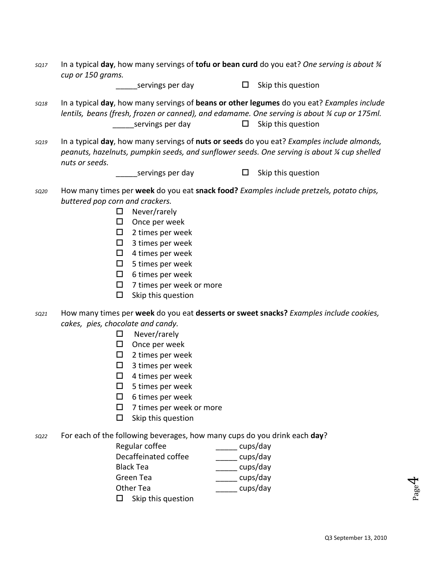*SQ17* In a typical **day**, how many servings of **tofu or bean curd** do you eat? *One serving is about ¾ cup or 150 grams.*

servings per day  $\square$  Skip this question

- *SQ18* In a typical **day**, how many servings of **beans or other legumes** do you eat? *Examples include lentils, beans (fresh, frozen or canned), and edamame. One serving is about ¾ cup or 175ml.* servings per day  $\square$  Skip this question
- *SQ19* In a typical **day**, how many servings of **nuts or seeds** do you eat? *Examples include almonds, peanuts, hazelnuts, pumpkin seeds, and sunflower seeds. One serving is about ¼ cup shelled nuts or seeds.*

servings per day  $\square$  Skip this question

- *SQ20* How many times per **week** do you eat **snack food?** *Examples include pretzels, potato chips, buttered pop corn and crackers.*
	- $\Box$  Never/rarely
	- $\Box$  Once per week
	- $\Box$  2 times per week
	- $\Box$  3 times per week
	- $\Box$  4 times per week
	- $\Box$  5 times per week
	- $\Box$  6 times per week
	- $\Box$  7 times per week or more
	- $\square$  Skip this question
- *SQ21* How many times per **week** do you eat **desserts or sweet snacks?** *Examples include cookies, cakes, pies, chocolate and candy.*
	- □ Never/rarely
	- $\square$  Once per week
	- $\square$  2 times per week
	- $\Box$  3 times per week
	- $\Box$  4 times per week
	- $\Box$  5 times per week
	- $\Box$  6 times per week
	- $\Box$  7 times per week or more
	- $\square$  Skip this question

*SQ22* For each of the following beverages, how many cups do you drink each **day**?

| Regular coffee       | cups/day |
|----------------------|----------|
| Decaffeinated coffee | cups/day |
| <b>Black Tea</b>     | cups/day |
| Green Tea            | cups/day |
| Other Tea            | cups/day |
| Skip this question   |          |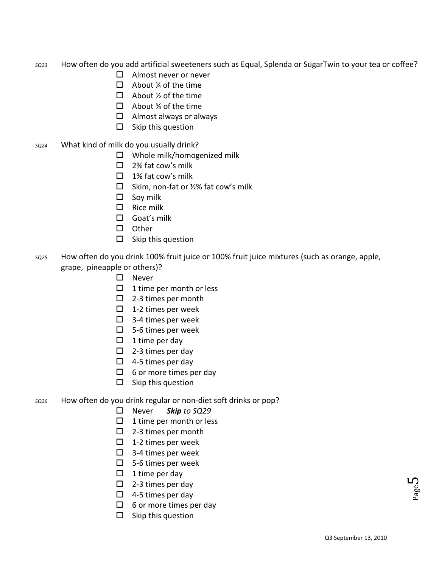- *SQ23* How often do you add artificial sweeteners such as Equal, Splenda or SugarTwin to your tea or coffee?
	- □ Almost never or never
	- $\Box$  About ¼ of the time
	- $\Box$  About  $\frac{1}{2}$  of the time
	- $\Box$  About % of the time
	- $\Box$  Almost always or always
	- $\square$  Skip this question
- *SQ24* What kind of milk do you usually drink?
	- Whole milk/homogenized milk
	- $\Box$  2% fat cow's milk
	- $\Box$  1% fat cow's milk
	- $\square$  Skim, non-fat or  $\frac{1}{2}$ % fat cow's milk
	- $\square$  Soy milk
	- $\Box$  Rice milk
	- □ Goat's milk
	- $\square$  Other
	- $\square$  Skip this question
- *SQ25* How often do you drink 100% fruit juice or 100% fruit juice mixtures (such as orange, apple, grape, pineapple or others)?
	- □ Never
	- $\Box$  1 time per month or less
	- □ 2-3 times per month
	- $\Box$  1-2 times per week
	- $\Box$  3-4 times per week
	- □ 5-6 times per week
	- $\Box$  1 time per day
	- $\square$  2-3 times per day
	- $\Box$  4-5 times per day
	- $\Box$  6 or more times per day
	- $\square$  Skip this question

#### *SQ26* How often do you drink regular or non-diet soft drinks or pop?

- Never *Skip to SQ29*
- $\Box$  1 time per month or less
- □ 2-3 times per month
- $\Box$  1-2 times per week
- $\Box$  3-4 times per week
- □ 5-6 times per week
- $\Box$  1 time per day
- $\Box$  2-3 times per day
- $\Box$  4-5 times per day
- $\Box$  6 or more times per day
- $\square$  Skip this question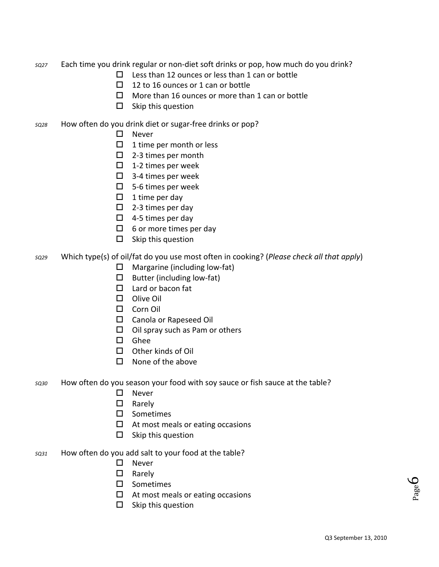*SQ27* Each time you drink regular or non-diet soft drinks or pop, how much do you drink?

- $\square$  Less than 12 ounces or less than 1 can or bottle
- $\Box$  12 to 16 ounces or 1 can or bottle
- $\Box$  More than 16 ounces or more than 1 can or bottle
- $\square$  Skip this question
- *SQ28* How often do you drink diet or sugar-free drinks or pop?
	- □ Never
	- $\Box$  1 time per month or less
	- □ 2-3 times per month
	- $\Box$  1-2 times per week
	- □ 3-4 times per week
	- □ 5-6 times per week
	- $\Box$  1 time per day
	- $\square$  2-3 times per day
	- $\Box$  4-5 times per day
	- $\Box$  6 or more times per day
	- $\square$  Skip this question
- *SQ29* Which type(s) of oil/fat do you use most often in cooking? (*Please check all that apply*)
	- $\Box$  Margarine (including low-fat)
	- $\square$  Butter (including low-fat)
	- $\Box$  Lard or bacon fat
	- □ Olive Oil
	- □ Corn Oil
	- □ Canola or Rapeseed Oil
	- $\Box$  Oil spray such as Pam or others
	- $\square$  Ghee
	- $\Box$  Other kinds of Oil
	- $\Box$  None of the above
- *SQ30* How often do you season your food with soy sauce or fish sauce at the table?
	- □ Never
	- □ Rarely
	- □ Sometimes
	- $\Box$  At most meals or eating occasions
	- $\square$  Skip this question
- *SQ31* How often do you add salt to your food at the table?
	- $\square$  Never
	- □ Rarely
	- □ Sometimes
	- $\Box$  At most meals or eating occasions
	- $\square$  Skip this question

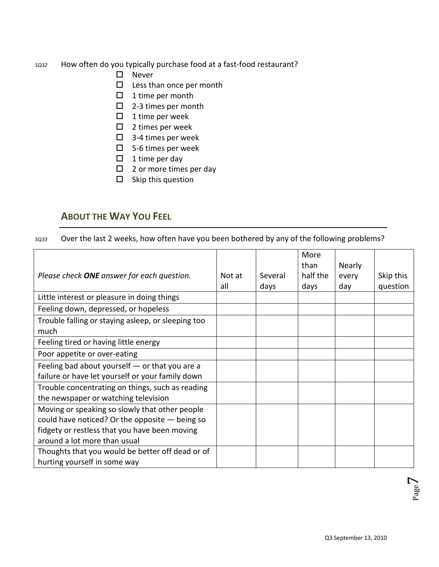#### *SQ32* How often do you typically purchase food at a fast-food restaurant?

- □ Never
- $\square$  Less than once per month
- $\Box$  1 time per month
- □ 2-3 times per month
- $\Box$  1 time per week
- $\square$  2 times per week
- $\Box$  3-4 times per week
- 5-6 times per week
- $\Box$  1 time per day
- $\Box$  2 or more times per day
- $\square$  Skip this question

# **ABOUT THE WAY YOU FEEL**

*SQ33* Over the last 2 weeks, how often have you been bothered by any of the following problems?

|                                                    |        |         | More     |        |           |
|----------------------------------------------------|--------|---------|----------|--------|-----------|
|                                                    |        |         | than     | Nearly |           |
| Please check <b>ONE</b> answer for each question.  | Not at | Several | half the | every  | Skip this |
|                                                    | all    | days    | days     | day    | question  |
| Little interest or pleasure in doing things        |        |         |          |        |           |
| Feeling down, depressed, or hopeless               |        |         |          |        |           |
| Trouble falling or staying asleep, or sleeping too |        |         |          |        |           |
| much                                               |        |         |          |        |           |
| Feeling tired or having little energy              |        |         |          |        |           |
| Poor appetite or over-eating                       |        |         |          |        |           |
| Feeling bad about yourself $-$ or that you are a   |        |         |          |        |           |
| failure or have let yourself or your family down   |        |         |          |        |           |
| Trouble concentrating on things, such as reading   |        |         |          |        |           |
| the newspaper or watching television               |        |         |          |        |           |
| Moving or speaking so slowly that other people     |        |         |          |        |           |
| could have noticed? Or the opposite $-$ being so   |        |         |          |        |           |
| fidgety or restless that you have been moving      |        |         |          |        |           |
| around a lot more than usual                       |        |         |          |        |           |
| Thoughts that you would be better off dead or of   |        |         |          |        |           |
| hurting yourself in some way                       |        |         |          |        |           |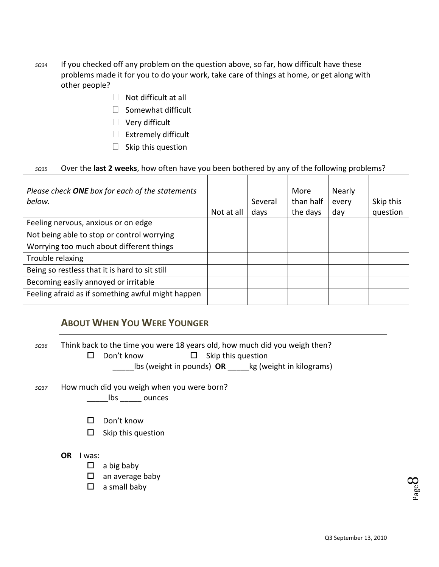- *SQ34* If you checked off any problem on the question above, so far, how difficult have these problems made it for you to do your work, take care of things at home, or get along with other people?
	- $\Box$  Not difficult at all
	- $\Box$  Somewhat difficult
	- $\Box$  Very difficult
	- $\Box$  Extremely difficult
	- $\Box$  Skip this question

#### *SQ35* Over the **last 2 weeks**, how often have you been bothered by any of the following problems?

| Please check ONE box for each of the statements<br>below. | Not at all | Several<br>days | More<br>than half<br>the days | <b>Nearly</b><br>every<br>day | Skip this<br>question |
|-----------------------------------------------------------|------------|-----------------|-------------------------------|-------------------------------|-----------------------|
| Feeling nervous, anxious or on edge                       |            |                 |                               |                               |                       |
| Not being able to stop or control worrying                |            |                 |                               |                               |                       |
| Worrying too much about different things                  |            |                 |                               |                               |                       |
| Trouble relaxing                                          |            |                 |                               |                               |                       |
| Being so restless that it is hard to sit still            |            |                 |                               |                               |                       |
| Becoming easily annoyed or irritable                      |            |                 |                               |                               |                       |
| Feeling afraid as if something awful might happen         |            |                 |                               |                               |                       |

# **ABOUT WHEN YOU WERE YOUNGER**

| SQ36        | Think back to the time you were 18 years old, how much did you weigh then?<br>Don't know<br>Skip this question<br>ΙI<br>Ц<br>Ibs (weight in pounds) OR _____ kg (weight in kilograms) |
|-------------|---------------------------------------------------------------------------------------------------------------------------------------------------------------------------------------|
| <b>SQ37</b> | How much did you weigh when you were born?<br>lbs ounces                                                                                                                              |
|             | Don't know<br>ΙI<br>Skip this question<br>ப                                                                                                                                           |
|             | <b>OR</b><br>I was:<br>a big baby<br>ப<br>◻<br>an average baby<br>a small baby<br>◻                                                                                                   |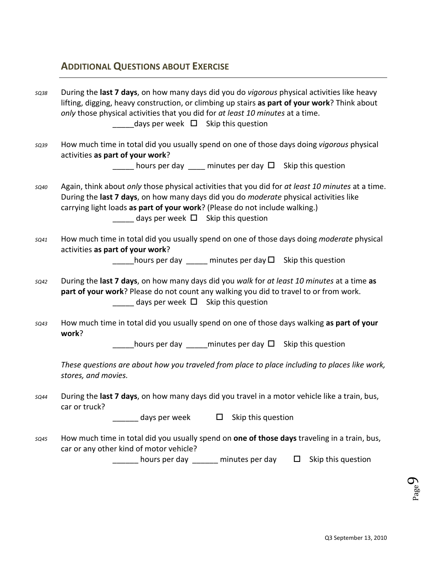# **ADDITIONAL QUESTIONS ABOUT EXERCISE**

| <b>SQ38</b> | During the last 7 days, on how many days did you do vigorous physical activities like heavy<br>lifting, digging, heavy construction, or climbing up stairs as part of your work? Think about<br>only those physical activities that you did for at least 10 minutes at a time.<br>days per week $\Box$ Skip this question       |
|-------------|---------------------------------------------------------------------------------------------------------------------------------------------------------------------------------------------------------------------------------------------------------------------------------------------------------------------------------|
| SQ39        | How much time in total did you usually spend on one of those days doing vigorous physical<br>activities as part of your work?<br><u>__</u> ___ hours per day ____ minutes per day □ Skip this question                                                                                                                          |
| SQ40        | Again, think about only those physical activities that you did for at least 10 minutes at a time.<br>During the last 7 days, on how many days did you do moderate physical activities like<br>carrying light loads as part of your work? (Please do not include walking.)<br>$\sqrt{a}$ days per week $\Box$ Skip this question |
| SQ41        | How much time in total did you usually spend on one of those days doing <i>moderate</i> physical<br>activities as part of your work?<br>hours per day $\frac{1}{2}$ minutes per day $\Box$ Skip this question                                                                                                                   |
| SQ42        | During the last 7 days, on how many days did you walk for at least 10 minutes at a time as<br>part of your work? Please do not count any walking you did to travel to or from work.<br>$\sqrt{a}$ days per week $\Box$ Skip this question                                                                                       |
| SQ43        | How much time in total did you usually spend on one of those days walking as part of your<br>work?<br>hours per day <u>equilibrities</u> per day $\Box$ Skip this question                                                                                                                                                      |
|             | These questions are about how you traveled from place to place including to places like work,<br>stores, and movies.                                                                                                                                                                                                            |
| <b>SQ44</b> | During the last 7 days, on how many days did you travel in a motor vehicle like a train, bus,<br>car or truck?<br>_ days per week<br>Skip this question<br>ப                                                                                                                                                                    |
| SQ45        | How much time in total did you usually spend on one of those days traveling in a train, bus,<br>car or any other kind of motor vehicle?<br>hours per day ______ minutes per day<br>Skip this question<br>Ц                                                                                                                      |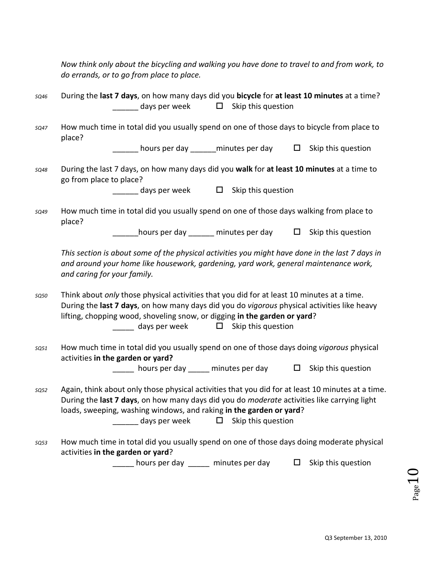| Now think only about the bicycling and walking you have done to travel to and from work, to |  |
|---------------------------------------------------------------------------------------------|--|
| do errands, or to go from place to place.                                                   |  |

- *SQ46* During the **last 7 days**, on how many days did you **bicycle** for **at least 10 minutes** at a time? days per week  $\square$  Skip this question
- *SQ47* How much time in total did you usually spend on one of those days to bicycle from place to place?

hours per day diminutes per day  $\square$  Skip this question

*SQ48* During the last 7 days, on how many days did you **walk** for **at least 10 minutes** at a time to go from place to place?

days per week  $\square$  Skip this question

*SQ49* How much time in total did you usually spend on one of those days walking from place to place?

hours per day diminutes per day  $\square$  Skip this question

*This section is about some of the physical activities you might have done in the last 7 days in and around your home like housework, gardening, yard work, general maintenance work, and caring for your family.*

- *SQ50* Think about *only* those physical activities that you did for at least 10 minutes at a time. During the **last 7 days**, on how many days did you do *vigorous* physical activities like heavy lifting, chopping wood, shoveling snow, or digging **in the garden or yard**? days per week  $\square$  Skip this question
- *SQ51* How much time in total did you usually spend on one of those days doing *vigorous* physical activities **in the garden or yard?**

hours per day diminutes per day  $\square$  Skip this question

- *SQ52* Again, think about only those physical activities that you did for at least 10 minutes at a time. During the **last 7 days**, on how many days did you do *moderate* activities like carrying light loads, sweeping, washing windows, and raking **in the garden or yard**? days per week  $\square$  Skip this question
- *SQ53* How much time in total did you usually spend on one of those days doing moderate physical activities **in the garden or yard**?

 $\frac{1}{2}$  hours per day  $\frac{1}{2}$  minutes per day  $\Box$  Skip this question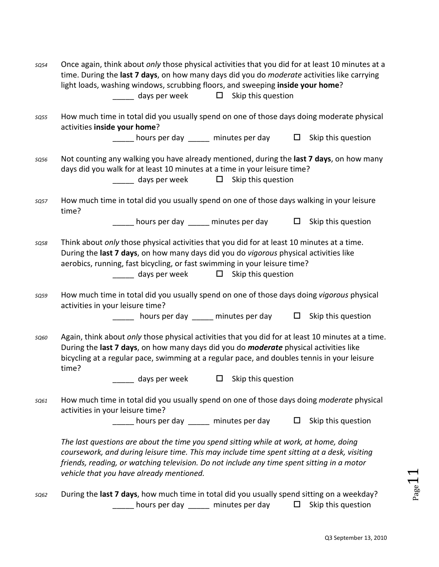| SQ54        | Once again, think about only those physical activities that you did for at least 10 minutes at a<br>time. During the last 7 days, on how many days did you do <i>moderate</i> activities like carrying<br>light loads, washing windows, scrubbing floors, and sweeping inside your home?<br>$\frac{1}{\sqrt{1-\frac{1}{\sqrt{1-\frac{1}{\sqrt{1-\frac{1}{\sqrt{1-\frac{1}{\sqrt{1-\frac{1}{\sqrt{1-\frac{1}{\sqrt{1-\frac{1}{\sqrt{1-\frac{1}{\sqrt{1-\frac{1}{\sqrt{1-\frac{1}{\sqrt{1-\frac{1}{\sqrt{1-\frac{1}{\sqrt{1-\frac{1}{\sqrt{1-\frac{1}{\sqrt{1-\frac{1}{\sqrt{1-\frac{1}{\sqrt{1-\frac{1}{\sqrt{1-\frac{1}{\sqrt{1-\frac{1}{\sqrt{1-\frac{1}{\sqrt{1-\frac{1}{\sqrt{1-\frac{1}{\sqrt{1-\frac{1}{\sqrt{1-\frac{1$ |
|-------------|-------------------------------------------------------------------------------------------------------------------------------------------------------------------------------------------------------------------------------------------------------------------------------------------------------------------------------------------------------------------------------------------------------------------------------------------------------------------------------------------------------------------------------------------------------------------------------------------------------------------------------------------------------------------------------------------------------------------------------|
| SQ55        | How much time in total did you usually spend on one of those days doing moderate physical<br>activities inside your home?                                                                                                                                                                                                                                                                                                                                                                                                                                                                                                                                                                                                     |
|             | <u>__</u> ___ hours per day _____ minutes per day do B Skip this question                                                                                                                                                                                                                                                                                                                                                                                                                                                                                                                                                                                                                                                     |
| SQ56        | Not counting any walking you have already mentioned, during the last 7 days, on how many<br>days did you walk for at least 10 minutes at a time in your leisure time?<br>$\frac{1}{\sqrt{1-\frac{1}{\sqrt{1-\frac{1}{\sqrt{1-\frac{1}{\sqrt{1-\frac{1}{\sqrt{1-\frac{1}{\sqrt{1-\frac{1}{\sqrt{1-\frac{1}{\sqrt{1-\frac{1}{\sqrt{1-\frac{1}{\sqrt{1-\frac{1}{\sqrt{1-\frac{1}{\sqrt{1-\frac{1}{\sqrt{1-\frac{1}{\sqrt{1-\frac{1}{\sqrt{1-\frac{1}{\sqrt{1-\frac{1}{\sqrt{1-\frac{1}{\sqrt{1-\frac{1}{\sqrt{1-\frac{1}{\sqrt{1-\frac{1}{\sqrt{1-\frac{1}{\sqrt{1-\frac{1}{\sqrt{1-\frac{1}{\sqrt{1-\frac{1$                                                                                                                    |
| <b>SQ57</b> | How much time in total did you usually spend on one of those days walking in your leisure<br>time?                                                                                                                                                                                                                                                                                                                                                                                                                                                                                                                                                                                                                            |
|             | $\Box$ hours per day $\Box$ minutes per day $\Box$ Skip this question                                                                                                                                                                                                                                                                                                                                                                                                                                                                                                                                                                                                                                                         |
| <b>SQ58</b> | Think about only those physical activities that you did for at least 10 minutes at a time.<br>During the last 7 days, on how many days did you do vigorous physical activities like<br>aerobics, running, fast bicycling, or fast swimming in your leisure time?<br>$\frac{1}{\sqrt{1-\frac{1}{\sqrt{1-\frac{1}{\sqrt{1-\frac{1}{\sqrt{1-\frac{1}{\sqrt{1-\frac{1}{\sqrt{1-\frac{1}{\sqrt{1-\frac{1}{\sqrt{1-\frac{1}{\sqrt{1-\frac{1}{\sqrt{1-\frac{1}{\sqrt{1-\frac{1}{\sqrt{1-\frac{1}{\sqrt{1-\frac{1}{\sqrt{1-\frac{1}{\sqrt{1-\frac{1}{\sqrt{1-\frac{1}{\sqrt{1-\frac{1}{\sqrt{1-\frac{1}{\sqrt{1-\frac{1}{\sqrt{1-\frac{1}{\sqrt{1-\frac{1}{\sqrt{1-\frac{1}{\sqrt{1-\frac{1}{\sqrt{1-\frac{1$                         |
| SQ59        | How much time in total did you usually spend on one of those days doing vigorous physical<br>activities in your leisure time?                                                                                                                                                                                                                                                                                                                                                                                                                                                                                                                                                                                                 |
|             | <u>__</u> ___ hours per day _____ minutes per day   □ Skip this question                                                                                                                                                                                                                                                                                                                                                                                                                                                                                                                                                                                                                                                      |
| <b>SQ60</b> | Again, think about only those physical activities that you did for at least 10 minutes at a time.<br>During the last 7 days, on how many days did you do <i>moderate</i> physical activities like<br>bicycling at a regular pace, swimming at a regular pace, and doubles tennis in your leisure<br>time?<br>$\Box$ Skip this question<br>days per week                                                                                                                                                                                                                                                                                                                                                                       |
| SQ61        | How much time in total did you usually spend on one of those days doing <i>moderate</i> physical<br>activities in your leisure time?                                                                                                                                                                                                                                                                                                                                                                                                                                                                                                                                                                                          |
|             | $\sqrt{a}$ hours per day $\sqrt{a}$ minutes per day $\Box$ Skip this question                                                                                                                                                                                                                                                                                                                                                                                                                                                                                                                                                                                                                                                 |
|             | The last questions are about the time you spend sitting while at work, at home, doing<br>coursework, and during leisure time. This may include time spent sitting at a desk, visiting<br>friends, reading, or watching television. Do not include any time spent sitting in a motor<br>vehicle that you have already mentioned.                                                                                                                                                                                                                                                                                                                                                                                               |
| SQ62        | During the last 7 days, how much time in total did you usually spend sitting on a weekday?                                                                                                                                                                                                                                                                                                                                                                                                                                                                                                                                                                                                                                    |

 $\sqrt{\phantom{a} \phantom{a}}$  hours per day  $\phantom{a} \phantom{a}$  minutes per day  $\phantom{a} \phantom{a}$  Skip this question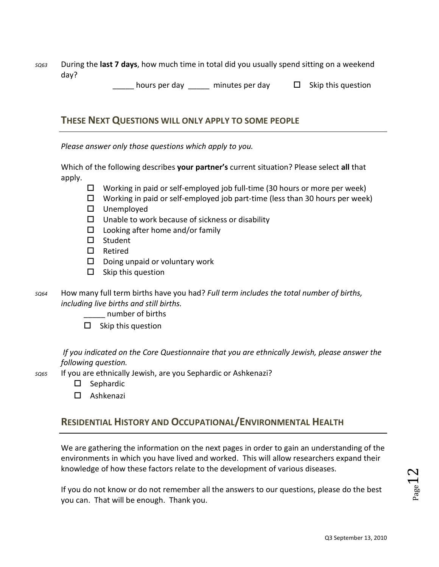*SQ63* During the **last 7 days**, how much time in total did you usually spend sitting on a weekend day?

 $\Box$  hours per day  $\Box$  minutes per day  $\Box$  Skip this question

#### **THESE NEXT QUESTIONS WILL ONLY APPLY TO SOME PEOPLE**

*Please answer only those questions which apply to you.*

Which of the following describes **your partner's** current situation? Please select **all** that apply.

- $\Box$  Working in paid or self-employed job full-time (30 hours or more per week)
- $\Box$  Working in paid or self-employed job part-time (less than 30 hours per week)
- Unemployed
- $\square$  Unable to work because of sickness or disability
- $\square$  Looking after home and/or family
- $\square$  Student
- $\Box$  Retired
- $\square$  Doing unpaid or voluntary work
- $\square$  Skip this question
- *SQ64* How many full term births have you had? *Full term includes the total number of births, including live births and still births.*
	- \_\_\_\_\_ number of births
	- $\square$  Skip this question

*If you indicated on the Core Questionnaire that you are ethnically Jewish, please answer the following question.* 

- *SQ65* If you are ethnically Jewish, are you Sephardic or Ashkenazi?
	- $\square$  Sephardic
	- Ashkenazi

# **RESIDENTIAL HISTORY AND OCCUPATIONAL/ENVIRONMENTAL HEALTH**

We are gathering the information on the next pages in order to gain an understanding of the environments in which you have lived and worked. This will allow researchers expand their knowledge of how these factors relate to the development of various diseases.

If you do not know or do not remember all the answers to our questions, please do the best you can. That will be enough. Thank you.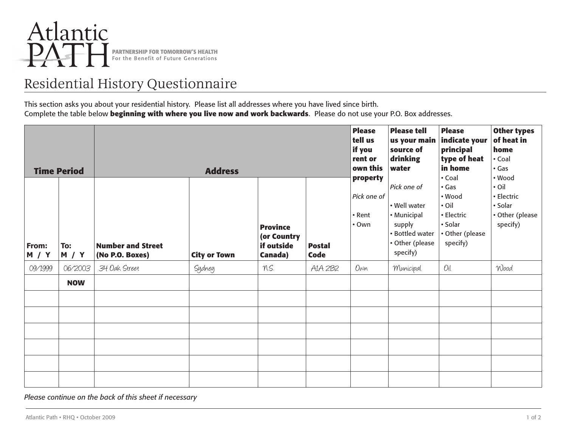

# Residential History Questionnaire

This section asks you about your residential history. Please list all addresses where you have lived since birth. Complete the table below **beginning with where you live now and work backwards**. Please do not use your P.O. Box addresses.

| <b>Time Period</b> |                            | <b>Address</b>                              |                     |                                                         |                       | <b>Please</b><br>tell us<br>if you<br>rent or<br>own this | <b>Please tell</b><br>source of<br>drinking<br>water                                                   | <b>Please</b><br>us your main indicate your<br>principal<br>type of heat<br>in home                    | <b>Other types</b><br>of heat in<br>home<br>• Coal<br>$\cdot$ Gas             |
|--------------------|----------------------------|---------------------------------------------|---------------------|---------------------------------------------------------|-----------------------|-----------------------------------------------------------|--------------------------------------------------------------------------------------------------------|--------------------------------------------------------------------------------------------------------|-------------------------------------------------------------------------------|
| From:<br>M / Y     | To:<br><b>M</b> / <b>Y</b> | <b>Number and Street</b><br>(No P.O. Boxes) | <b>City or Town</b> | <b>Province</b><br>(or Country<br>if outside<br>Canada) | <b>Postal</b><br>Code | property<br>Pick one of<br>• Rent<br>$\cdot$ Own          | Pick one of<br>• Well water<br>• Municipal<br>supply<br>• Bottled water<br>• Other (please<br>specify) | • Coal<br>$\cdot$ Gas<br>• Wood<br>$\cdot$ Oil<br>• Electric<br>• Solar<br>• Other (please<br>specify) | • Wood<br>$\cdot$ Oil<br>• Electric<br>• Solar<br>• Other (please<br>specify) |
| 09/1999            | 06/2003                    | 34 Oak Street                               | Sydney              | N.S.                                                    | AIA 2B2               | $0\nu$ n                                                  | Municipal                                                                                              | Oil                                                                                                    | Wood                                                                          |
|                    | <b>NOW</b>                 |                                             |                     |                                                         |                       |                                                           |                                                                                                        |                                                                                                        |                                                                               |
|                    |                            |                                             |                     |                                                         |                       |                                                           |                                                                                                        |                                                                                                        |                                                                               |
|                    |                            |                                             |                     |                                                         |                       |                                                           |                                                                                                        |                                                                                                        |                                                                               |
|                    |                            |                                             |                     |                                                         |                       |                                                           |                                                                                                        |                                                                                                        |                                                                               |
|                    |                            |                                             |                     |                                                         |                       |                                                           |                                                                                                        |                                                                                                        |                                                                               |
|                    |                            |                                             |                     |                                                         |                       |                                                           |                                                                                                        |                                                                                                        |                                                                               |
|                    |                            |                                             |                     |                                                         |                       |                                                           |                                                                                                        |                                                                                                        |                                                                               |

*Please continue on the back of this sheet if necessary*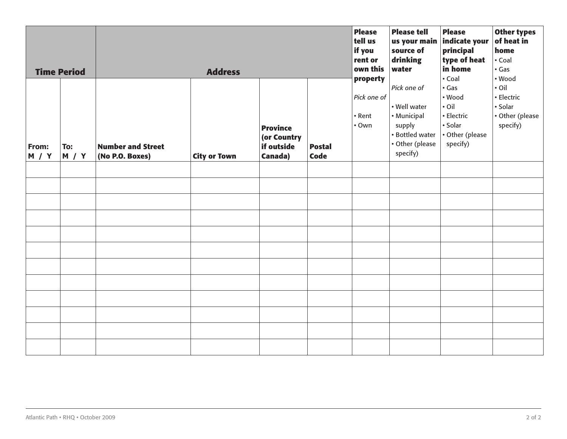| <b>Time Period</b><br><b>Address</b> |                            |                                             |                     |                                                         | <b>Please</b><br>tell us<br>if you<br>rent or<br>own this | <b>Please tell</b><br>source of<br>drinking<br>water | <b>Please</b><br>us your main indicate your<br>principal<br>type of heat<br>in home                    | <b>Other types</b><br>of heat in<br>home<br>• Coal<br>$\cdot$ Gas                                      |                                                                               |
|--------------------------------------|----------------------------|---------------------------------------------|---------------------|---------------------------------------------------------|-----------------------------------------------------------|------------------------------------------------------|--------------------------------------------------------------------------------------------------------|--------------------------------------------------------------------------------------------------------|-------------------------------------------------------------------------------|
| From:<br><b>M</b> / <b>Y</b>         | To:<br><b>M</b> / <b>Y</b> | <b>Number and Street</b><br>(No P.O. Boxes) | <b>City or Town</b> | <b>Province</b><br>(or Country<br>if outside<br>Canada) | <b>Postal</b><br><b>Code</b>                              | property<br>Pick one of<br>• Rent<br>$\cdot$ Own     | Pick one of<br>• Well water<br>• Municipal<br>supply<br>• Bottled water<br>• Other (please<br>specify) | • Coal<br>$\cdot$ Gas<br>• Wood<br>$\cdot$ Oil<br>· Electric<br>• Solar<br>• Other (please<br>specify) | • Wood<br>$\cdot$ Oil<br>· Electric<br>• Solar<br>• Other (please<br>specify) |
|                                      |                            |                                             |                     |                                                         |                                                           |                                                      |                                                                                                        |                                                                                                        |                                                                               |
|                                      |                            |                                             |                     |                                                         |                                                           |                                                      |                                                                                                        |                                                                                                        |                                                                               |
|                                      |                            |                                             |                     |                                                         |                                                           |                                                      |                                                                                                        |                                                                                                        |                                                                               |
|                                      |                            |                                             |                     |                                                         |                                                           |                                                      |                                                                                                        |                                                                                                        |                                                                               |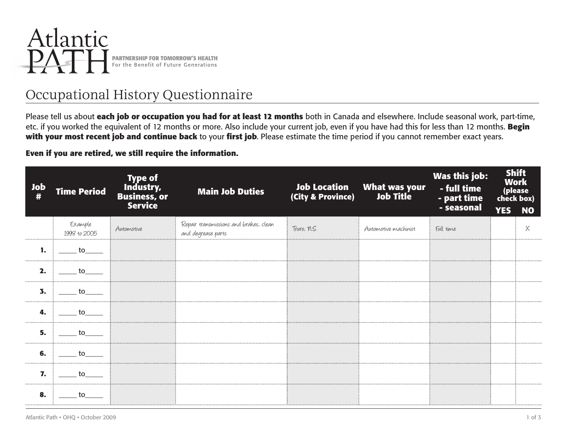

# Occupational History Questionnaire

Please tell us about **each job or occupation you had for at least 12 months** both in Canada and elsewhere. Include seasonal work, part-time, etc. if you worked the equivalent of 12 months or more. Also include your current job, even if you have had this for less than 12 months. **Begin with your most recent job and continue back** to your **first job**. Please estimate the time period if you cannot remember exact years.

#### **Even if you are retired, we still require the information.**

| <b>Job</b> | <b>Time Period</b>      | Type of<br>Industry,<br>Business, or<br><b>Service</b> | <b>Main Job Duties</b>                                       | (City & Province) | Job Location What was your<br>City & Province) Job Title | Was this job:<br>- full time<br>- part time<br>- seasonal | check box)<br><b>YES</b> | <b>Shift</b><br><b>Work</b><br>(please<br><b>NO</b> |
|------------|-------------------------|--------------------------------------------------------|--------------------------------------------------------------|-------------------|----------------------------------------------------------|-----------------------------------------------------------|--------------------------|-----------------------------------------------------|
|            | Example<br>1998 to 2005 | : Automotive                                           | Repair transmissions and brakes, clean<br>and degrease parts | Truro, N.S.       | Automotive machinist                                     | : Full time                                               |                          | Χ                                                   |
| 1.         | to                      |                                                        |                                                              |                   |                                                          |                                                           |                          |                                                     |
| 2.         | to to                   |                                                        |                                                              |                   |                                                          |                                                           |                          |                                                     |
| 3.         | to to                   |                                                        |                                                              |                   |                                                          |                                                           |                          |                                                     |
| 4.         | to to                   |                                                        |                                                              |                   |                                                          |                                                           |                          |                                                     |
| 5.         | to to                   |                                                        |                                                              |                   |                                                          |                                                           |                          |                                                     |
| 6.         | to to                   |                                                        |                                                              |                   |                                                          |                                                           |                          |                                                     |
| 7.         | $\sim$ to $\sim$        |                                                        |                                                              |                   |                                                          |                                                           |                          |                                                     |
| 8.         | to                      |                                                        |                                                              |                   |                                                          |                                                           |                          |                                                     |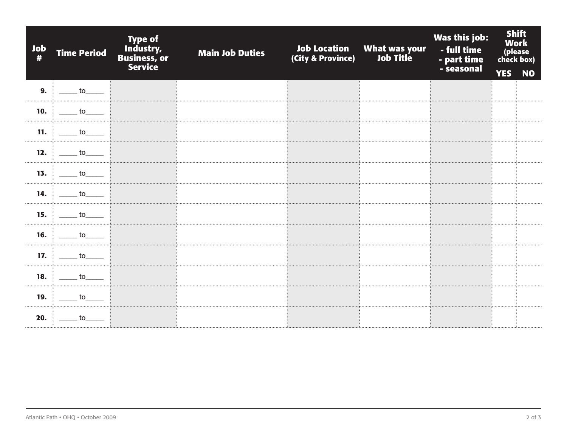| Job<br># | <b>Time Period</b>                                                                                                                                                                                                             | <b>Type of</b><br>Industry,<br>Business, or<br><b>Service</b> | <b>Main Job Duties</b> | <b>Job Location</b><br>(City & Province) | What was your<br>)         Job Title | Was this job:<br>- full time<br>- part time<br>- seasonal |            | <b>Shift</b><br><b>Work</b><br>(please<br>check box) |
|----------|--------------------------------------------------------------------------------------------------------------------------------------------------------------------------------------------------------------------------------|---------------------------------------------------------------|------------------------|------------------------------------------|--------------------------------------|-----------------------------------------------------------|------------|------------------------------------------------------|
|          |                                                                                                                                                                                                                                |                                                               |                        |                                          |                                      |                                                           | <b>YES</b> | <b>NO</b>                                            |
| 9.       | <b>to</b>                                                                                                                                                                                                                      |                                                               |                        |                                          |                                      |                                                           |            |                                                      |
| 10.      | <b>to</b>                                                                                                                                                                                                                      |                                                               |                        |                                          |                                      |                                                           |            |                                                      |
| 11.      | $\frac{1}{\sqrt{1-\frac{1}{2}}}$ to $\frac{1}{\sqrt{1-\frac{1}{2}}}$                                                                                                                                                           |                                                               |                        |                                          |                                      |                                                           |            |                                                      |
| 12.      | to to                                                                                                                                                                                                                          |                                                               |                        |                                          |                                      |                                                           |            |                                                      |
| 13.      | to the contract of the contract of the contract of the contract of the contract of the contract of the contract of the contract of the contract of the contract of the contract of the contract of the contract of the contrac |                                                               |                        |                                          |                                      |                                                           |            |                                                      |
|          | <b>14.</b> to                                                                                                                                                                                                                  |                                                               |                        |                                          |                                      |                                                           |            |                                                      |
| 15.      | to to                                                                                                                                                                                                                          |                                                               |                        |                                          |                                      |                                                           |            |                                                      |
|          | 16. $\frac{1}{2}$ to ____                                                                                                                                                                                                      |                                                               |                        |                                          |                                      |                                                           |            |                                                      |
| 17.      | to to                                                                                                                                                                                                                          |                                                               |                        |                                          |                                      |                                                           |            |                                                      |
| 18.      | to to                                                                                                                                                                                                                          |                                                               |                        |                                          |                                      |                                                           |            |                                                      |
| 19.      | to                                                                                                                                                                                                                             |                                                               |                        |                                          |                                      |                                                           |            |                                                      |
| 20.      | to                                                                                                                                                                                                                             |                                                               |                        |                                          |                                      |                                                           |            |                                                      |